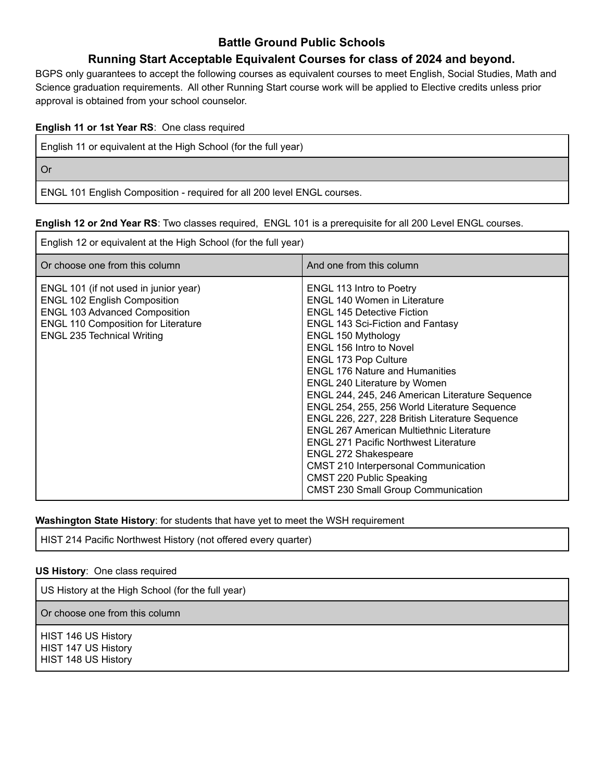# **Battle Ground Public Schools**

# **Running Start Acceptable Equivalent Courses for class of 2024 and beyond.**

BGPS only guarantees to accept the following courses as equivalent courses to meet English, Social Studies, Math and Science graduation requirements. All other Running Start course work will be applied to Elective credits unless prior approval is obtained from your school counselor.

### **English 11 or 1st Year RS**: One class required

English 11 or equivalent at the High School (for the full year)

Or

ENGL 101 English Composition - required for all 200 level ENGL courses.

#### **English 12 or 2nd Year RS**: Two classes required, ENGL 101 is a prerequisite for all 200 Level ENGL courses.

| English 12 or equivalent at the High School (for the full year)                                                                                                                                         |                                                                                                                                                                                                                                                                                                                                                                                                                                                                                                                                                                                                                                                                                                                                |  |
|---------------------------------------------------------------------------------------------------------------------------------------------------------------------------------------------------------|--------------------------------------------------------------------------------------------------------------------------------------------------------------------------------------------------------------------------------------------------------------------------------------------------------------------------------------------------------------------------------------------------------------------------------------------------------------------------------------------------------------------------------------------------------------------------------------------------------------------------------------------------------------------------------------------------------------------------------|--|
| Or choose one from this column                                                                                                                                                                          | And one from this column                                                                                                                                                                                                                                                                                                                                                                                                                                                                                                                                                                                                                                                                                                       |  |
| ENGL 101 (if not used in junior year)<br><b>ENGL 102 English Composition</b><br><b>ENGL 103 Advanced Composition</b><br><b>ENGL 110 Composition for Literature</b><br><b>ENGL 235 Technical Writing</b> | <b>ENGL 113 Intro to Poetry</b><br><b>ENGL 140 Women in Literature</b><br><b>ENGL 145 Detective Fiction</b><br><b>ENGL 143 Sci-Fiction and Fantasy</b><br>ENGL 150 Mythology<br><b>ENGL 156 Intro to Novel</b><br>ENGL 173 Pop Culture<br><b>ENGL 176 Nature and Humanities</b><br>ENGL 240 Literature by Women<br>ENGL 244, 245, 246 American Literature Sequence<br>ENGL 254, 255, 256 World Literature Sequence<br>ENGL 226, 227, 228 British Literature Sequence<br><b>ENGL 267 American Multiethnic Literature</b><br><b>ENGL 271 Pacific Northwest Literature</b><br><b>ENGL 272 Shakespeare</b><br><b>CMST 210 Interpersonal Communication</b><br>CMST 220 Public Speaking<br><b>CMST 230 Small Group Communication</b> |  |

### **Washington State History**: for students that have yet to meet the WSH requirement

HIST 214 Pacific Northwest History (not offered every quarter)

### **US History**: One class required

US History at the High School (for the full year)

Or choose one from this column

HIST 146 US History HIST 147 US History HIST 148 US History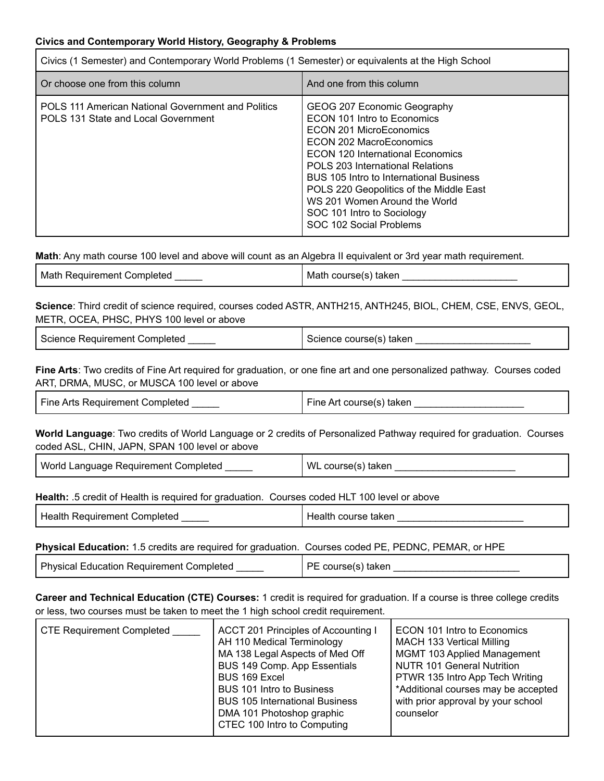### **Civics and Contemporary World History, Geography & Problems**

| Civics (1 Semester) and Contemporary World Problems (1 Semester) or equivalents at the High School |                                                                                                                                                                                                                                                                                                                                                                          |  |
|----------------------------------------------------------------------------------------------------|--------------------------------------------------------------------------------------------------------------------------------------------------------------------------------------------------------------------------------------------------------------------------------------------------------------------------------------------------------------------------|--|
| Or choose one from this column                                                                     | And one from this column                                                                                                                                                                                                                                                                                                                                                 |  |
| POLS 111 American National Government and Politics<br>POLS 131 State and Local Government          | GEOG 207 Economic Geography<br>ECON 101 Intro to Economics<br>ECON 201 MicroEconomics<br>ECON 202 MacroEconomics<br>ECON 120 International Economics<br>POLS 203 International Relations<br>BUS 105 Intro to International Business<br>POLS 220 Geopolitics of the Middle East<br>WS 201 Women Around the World<br>SOC 101 Intro to Sociology<br>SOC 102 Social Problems |  |

**Math**: Any math course 100 level and above will count as an Algebra II equivalent or 3rd year math requirement.

| Math<br>ı Requirement Completed.<br>course(s) taken<br>Math o |
|---------------------------------------------------------------|
|---------------------------------------------------------------|

**Science**: Third credit of science required, courses coded ASTR, ANTH215, ANTH245, BIOL, CHEM, CSE, ENVS, GEOL, METR, OCEA, PHSC, PHYS 100 level or above

| Science Requirement Completed | Science course(s) taken |
|-------------------------------|-------------------------|
|-------------------------------|-------------------------|

**Fine Arts**: Two credits of Fine Art required for graduation, or one fine art and one personalized pathway. Courses coded ART, DRMA, MUSC, or MUSCA 100 level or above

| Fine Arts Requirement Completed | Fine Art course(s) taken |
|---------------------------------|--------------------------|
|                                 |                          |

**World Language**: Two credits of World Language or 2 credits of Personalized Pathway required for graduation. Courses coded ASL, CHIN, JAPN, SPAN 100 level or above

| World Language Requirement Completed | WL course(s) taken |
|--------------------------------------|--------------------|
|--------------------------------------|--------------------|

### **Health:** .5 credit of Health is required for graduation. Courses coded HLT 100 level or above

| Health Requirement Completed | Health course taken |
|------------------------------|---------------------|
|                              |                     |

### **Physical Education:** 1.5 credits are required for graduation. Courses coded PE, PEDNC, PEMAR, or HPE

| ' Phvsica∟<br>5ompleted<br>.<br>≞ducation<br>Requirement | . .<br>такег |
|----------------------------------------------------------|--------------|
|----------------------------------------------------------|--------------|

**Career and Technical Education (CTE) Courses:** 1 credit is required for graduation. If a course is three college credits or less, two courses must be taken to meet the 1 high school credit requirement.